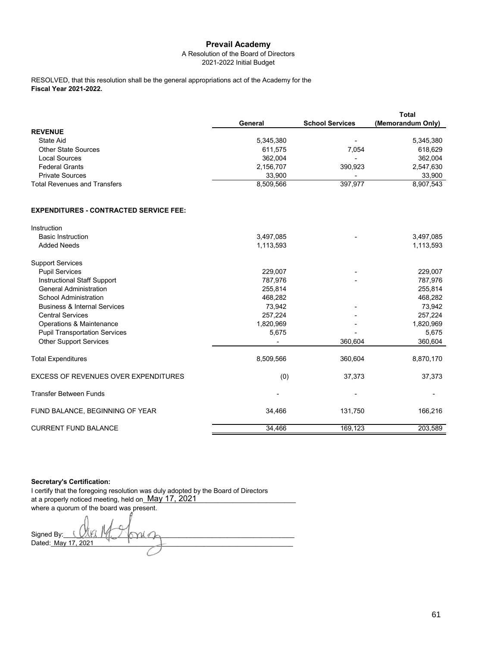### A Resolution of the Board of Directors 2021-2022 Initial Budget

**Fiscal Year 2021-2022.** RESOLVED, that this resolution shall be the general appropriations act of the Academy for the

|                                     |           |                          | Total             |
|-------------------------------------|-----------|--------------------------|-------------------|
|                                     | General   | <b>School Services</b>   | (Memorandum Only) |
| <b>REVENUE</b>                      |           |                          |                   |
| State Aid                           | 5,345,380 | $\overline{\phantom{a}}$ | 5,345,380         |
| <b>Other State Sources</b>          | 611,575   | 7.054                    | 618,629           |
| Local Sources                       | 362,004   | $\overline{\phantom{a}}$ | 362,004           |
| <b>Federal Grants</b>               | 2,156,707 | 390,923                  | 2,547,630         |
| <b>Private Sources</b>              | 33.900    |                          | 33,900            |
| <b>Total Revenues and Transfers</b> | 8,509,566 | 397,977                  | 8,907,543         |

### **EXPENDITURES - CONTRACTED SERVICE FEE:**

| Instruction                                 |           |         |           |
|---------------------------------------------|-----------|---------|-----------|
| <b>Basic Instruction</b>                    | 3,497,085 |         | 3,497,085 |
| <b>Added Needs</b>                          | 1,113,593 |         | 1,113,593 |
| <b>Support Services</b>                     |           |         |           |
| <b>Pupil Services</b>                       | 229,007   |         | 229,007   |
| <b>Instructional Staff Support</b>          | 787,976   |         | 787,976   |
| <b>General Administration</b>               | 255,814   |         | 255,814   |
| School Administration                       | 468,282   |         | 468,282   |
| <b>Business &amp; Internal Services</b>     | 73,942    |         | 73,942    |
| <b>Central Services</b>                     | 257,224   |         | 257,224   |
| Operations & Maintenance                    | 1,820,969 |         | 1,820,969 |
| <b>Pupil Transportation Services</b>        | 5,675     |         | 5,675     |
| <b>Other Support Services</b>               |           | 360,604 | 360,604   |
| <b>Total Expenditures</b>                   | 8,509,566 | 360,604 | 8,870,170 |
| <b>EXCESS OF REVENUES OVER EXPENDITURES</b> | (0)       | 37,373  | 37,373    |
| <b>Transfer Between Funds</b>               |           |         |           |
| FUND BALANCE, BEGINNING OF YEAR             | 34,466    | 131,750 | 166,216   |
| <b>CURRENT FUND BALANCE</b>                 | 34,466    | 169,123 | 203,589   |

### **Secretary's Certification:**

I certify that the foregoing resolution was duly adopted by the Board of Directors at a properly noticed meeting, held on\_ $\overline{\text{May 17, 2021}}$  \_\_\_\_\_\_\_\_\_\_\_\_\_\_\_\_\_\_\_\_\_\_\_\_ where a quorum of the board was present. Signed By:

Dated:\_\_\_\_\_\_\_\_\_\_\_\_\_\_\_\_\_\_\_\_\_\_\_\_\_\_\_\_\_\_\_\_\_\_\_\_\_\_\_\_\_\_\_\_\_\_\_\_\_\_\_\_\_\_\_\_\_\_\_\_\_\_\_\_\_ May 17, 2021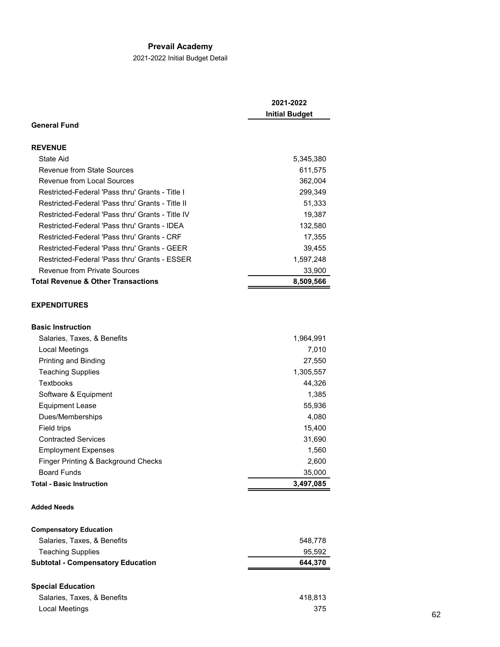2021-2022 Initial Budget Detail

|                                                  | 2021-2022<br><b>Initial Budget</b> |
|--------------------------------------------------|------------------------------------|
| <b>General Fund</b>                              |                                    |
| <b>REVENUE</b>                                   |                                    |
| State Aid                                        | 5,345,380                          |
| Revenue from State Sources                       | 611,575                            |
| <b>Revenue from Local Sources</b>                | 362,004                            |
| Restricted-Federal 'Pass thru' Grants - Title I  | 299,349                            |
| Restricted-Federal 'Pass thru' Grants - Title II | 51,333                             |
| Restricted-Federal 'Pass thru' Grants - Title IV | 19,387                             |
| Restricted-Federal 'Pass thru' Grants - IDEA     | 132,580                            |
| Restricted-Federal 'Pass thru' Grants - CRF      | 17,355                             |
| Restricted-Federal 'Pass thru' Grants - GEER     | 39,455                             |
| Restricted-Federal 'Pass thru' Grants - ESSER    | 1,597,248                          |
| <b>Revenue from Private Sources</b>              | 33,900                             |
| <b>Total Revenue &amp; Other Transactions</b>    | 8,509,566                          |
| <b>EXPENDITURES</b>                              |                                    |
| <b>Basic Instruction</b>                         |                                    |
| Salaries, Taxes, & Benefits                      | 1,964,991                          |
| Local Meetings                                   | 7,010                              |
| Printing and Binding                             | 27,550                             |
| <b>Teaching Supplies</b>                         | 1,305,557                          |
| Textbooks                                        | 44,326                             |
| Software & Equipment                             | 1,385                              |
| <b>Equipment Lease</b>                           | 55,936                             |
| Dues/Memberships                                 | 4,080                              |
| Field trips                                      | 15,400                             |
| <b>Contracted Services</b>                       | 31,690                             |
| <b>Employment Expenses</b>                       | 1,560                              |
| Finger Printing & Background Checks              | 2.600                              |

# Board Funds 35,000<br>btal - Basic Instruction 3,497,085 **Total - Basic Instruction 3,497,085**

## **Added Needs**

| <b>Compensatory Education</b>            |         |
|------------------------------------------|---------|
| Salaries, Taxes, & Benefits              | 548.778 |
| <b>Teaching Supplies</b>                 | 95.592  |
| <b>Subtotal - Compensatory Education</b> | 644.370 |
|                                          |         |

## **Special Education**

| Salaries, Taxes, & Benefits | 418.813 |
|-----------------------------|---------|
| Local Meetings              | 375     |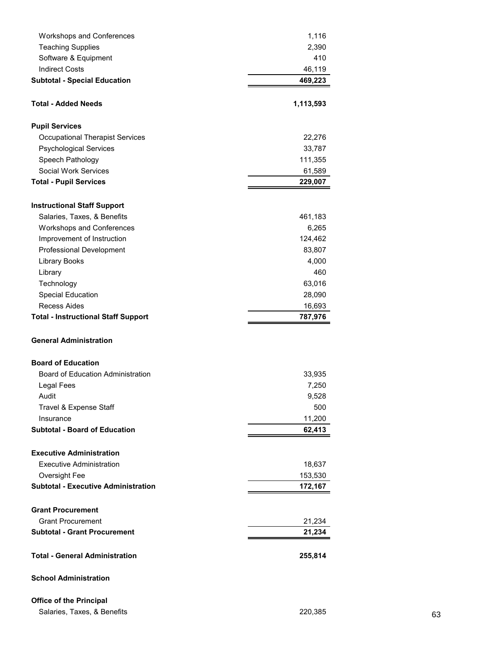| <b>Workshops and Conferences</b>           | 1,116     |
|--------------------------------------------|-----------|
| <b>Teaching Supplies</b>                   | 2,390     |
| Software & Equipment                       | 410       |
| <b>Indirect Costs</b>                      | 46,119    |
| <b>Subtotal - Special Education</b>        | 469,223   |
|                                            |           |
| <b>Total - Added Needs</b>                 | 1,113,593 |
|                                            |           |
| <b>Pupil Services</b>                      |           |
| <b>Occupational Therapist Services</b>     | 22,276    |
| <b>Psychological Services</b>              | 33,787    |
| Speech Pathology                           | 111,355   |
| <b>Social Work Services</b>                | 61,589    |
| <b>Total - Pupil Services</b>              | 229,007   |
|                                            |           |
| <b>Instructional Staff Support</b>         |           |
| Salaries, Taxes, & Benefits                | 461,183   |
| <b>Workshops and Conferences</b>           | 6,265     |
| Improvement of Instruction                 | 124,462   |
| Professional Development                   | 83,807    |
| <b>Library Books</b>                       | 4,000     |
| Library                                    | 460       |
| Technology                                 | 63,016    |
| Special Education                          | 28,090    |
| <b>Recess Aides</b>                        | 16,693    |
| <b>Total - Instructional Staff Support</b> | 787,976   |
|                                            |           |
| <b>General Administration</b>              |           |
|                                            |           |
| <b>Board of Education</b>                  |           |
| <b>Board of Education Administration</b>   | 33,935    |
| Legal Fees                                 | 7,250     |
| Audit                                      | 9,528     |
| Travel & Expense Staff                     | 500       |
| Insurance                                  | 11,200    |
| <b>Subtotal - Board of Education</b>       | 62,413    |
|                                            |           |
| <b>Executive Administration</b>            |           |
| <b>Executive Administration</b>            | 18,637    |
| Oversight Fee                              | 153,530   |
| <b>Subtotal - Executive Administration</b> | 172,167   |
|                                            |           |
| <b>Grant Procurement</b>                   |           |
| <b>Grant Procurement</b>                   | 21,234    |
| <b>Subtotal - Grant Procurement</b>        | 21,234    |
|                                            |           |
| <b>Total - General Administration</b>      | 255,814   |
|                                            |           |
|                                            |           |
| <b>School Administration</b>               |           |

Salaries, Taxes, & Benefits 63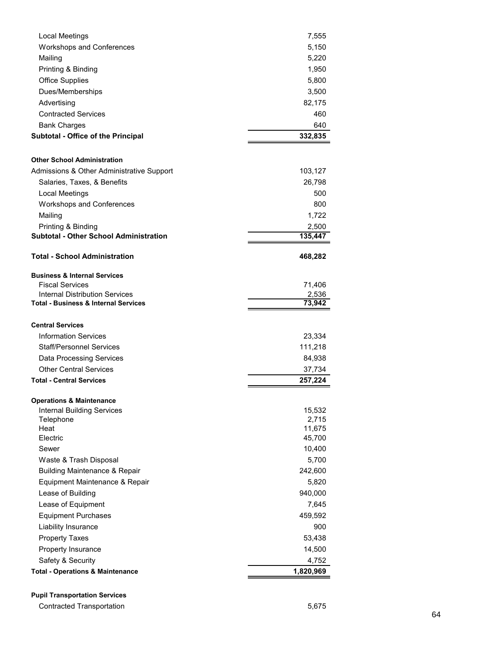| Local Meetings                                  | 7,555     |
|-------------------------------------------------|-----------|
| <b>Workshops and Conferences</b>                | 5,150     |
| Mailing                                         | 5,220     |
| Printing & Binding                              | 1,950     |
| <b>Office Supplies</b>                          | 5,800     |
| Dues/Memberships                                | 3,500     |
| Advertising                                     | 82,175    |
| <b>Contracted Services</b>                      | 460       |
| <b>Bank Charges</b>                             | 640       |
| Subtotal - Office of the Principal              | 332,835   |
|                                                 |           |
| <b>Other School Administration</b>              |           |
| Admissions & Other Administrative Support       | 103,127   |
| Salaries, Taxes, & Benefits                     | 26,798    |
| <b>Local Meetings</b>                           | 500       |
| Workshops and Conferences                       | 800       |
| Mailing                                         | 1,722     |
| Printing & Binding                              | 2,500     |
| <b>Subtotal - Other School Administration</b>   | 135,447   |
|                                                 |           |
| <b>Total - School Administration</b>            | 468,282   |
| <b>Business &amp; Internal Services</b>         |           |
| <b>Fiscal Services</b>                          | 71,406    |
| Internal Distribution Services                  | 2,536     |
| <b>Total - Business &amp; Internal Services</b> | 73,942    |
|                                                 |           |
| <b>Central Services</b>                         |           |
| <b>Information Services</b>                     | 23,334    |
| Staff/Personnel Services                        | 111,218   |
| Data Processing Services                        | 84,938    |
| <b>Other Central Services</b>                   | 37,734    |
| <b>Total - Central Services</b>                 | 257,224   |
| <b>Operations &amp; Maintenance</b>             |           |
| <b>Internal Building Services</b>               | 15,532    |
| Telephone                                       | 2,715     |
| Heat                                            | 11,675    |
| Electric                                        | 45,700    |
| Sewer                                           | 10,400    |
| Waste & Trash Disposal                          | 5,700     |
| <b>Building Maintenance &amp; Repair</b>        | 242,600   |
| Equipment Maintenance & Repair                  | 5,820     |
| Lease of Building                               | 940,000   |
| Lease of Equipment                              | 7,645     |
| <b>Equipment Purchases</b>                      | 459,592   |
| Liability Insurance                             | 900       |
| <b>Property Taxes</b>                           | 53,438    |
| Property Insurance                              | 14,500    |
| Safety & Security                               | 4,752     |
| <b>Total - Operations &amp; Maintenance</b>     | 1,820,969 |
|                                                 |           |

**Pupil Transportation Services**

Contracted Transportation 6,675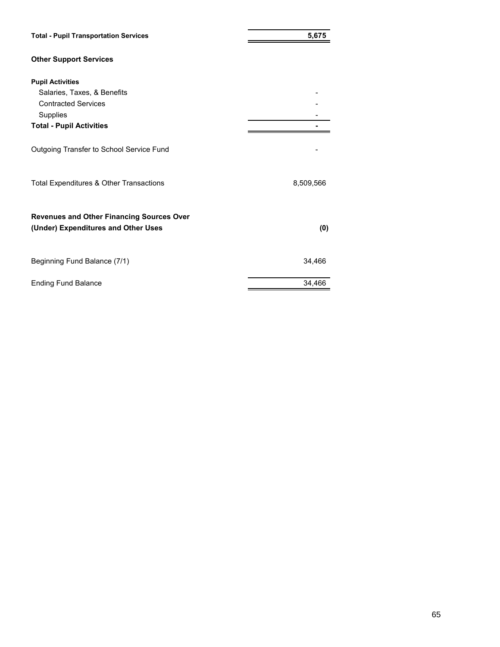| <b>Total - Pupil Transportation Services</b>                                            | 5,675     |
|-----------------------------------------------------------------------------------------|-----------|
| <b>Other Support Services</b>                                                           |           |
| <b>Pupil Activities</b>                                                                 |           |
| Salaries, Taxes, & Benefits                                                             |           |
| <b>Contracted Services</b>                                                              |           |
| Supplies                                                                                |           |
| <b>Total - Pupil Activities</b>                                                         |           |
| Outgoing Transfer to School Service Fund                                                |           |
| Total Expenditures & Other Transactions                                                 | 8,509,566 |
| <b>Revenues and Other Financing Sources Over</b><br>(Under) Expenditures and Other Uses | (0)       |
| Beginning Fund Balance (7/1)                                                            | 34,466    |
| <b>Ending Fund Balance</b>                                                              | 34,466    |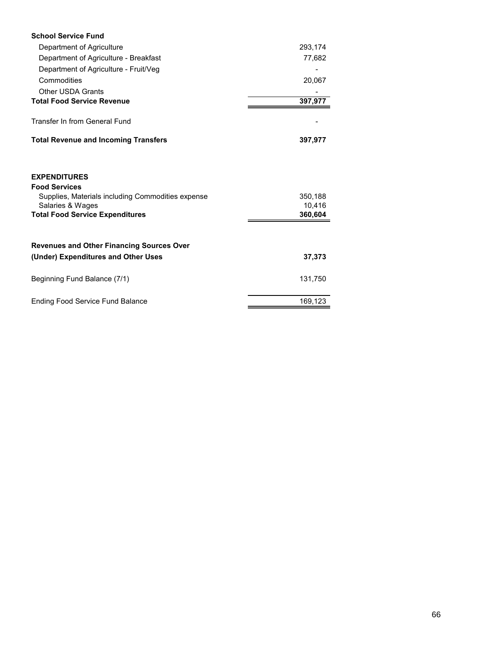| <b>School Service Fund</b>                                                                                                                                     |                              |
|----------------------------------------------------------------------------------------------------------------------------------------------------------------|------------------------------|
| Department of Agriculture                                                                                                                                      | 293,174                      |
| Department of Agriculture - Breakfast                                                                                                                          | 77,682                       |
| Department of Agriculture - Fruit/Veg                                                                                                                          |                              |
| Commodities                                                                                                                                                    | 20,067                       |
| <b>Other USDA Grants</b>                                                                                                                                       |                              |
| <b>Total Food Service Revenue</b>                                                                                                                              | 397,977                      |
| Transfer In from General Fund                                                                                                                                  |                              |
| <b>Total Revenue and Incoming Transfers</b>                                                                                                                    | 397,977                      |
| <b>EXPENDITURES</b><br><b>Food Services</b><br>Supplies, Materials including Commodities expense<br>Salaries & Wages<br><b>Total Food Service Expenditures</b> | 350,188<br>10.416<br>360,604 |
| <b>Revenues and Other Financing Sources Over</b><br>(Under) Expenditures and Other Uses                                                                        | 37,373                       |
| Beginning Fund Balance (7/1)                                                                                                                                   | 131,750                      |
| <b>Ending Food Service Fund Balance</b>                                                                                                                        | 169,123                      |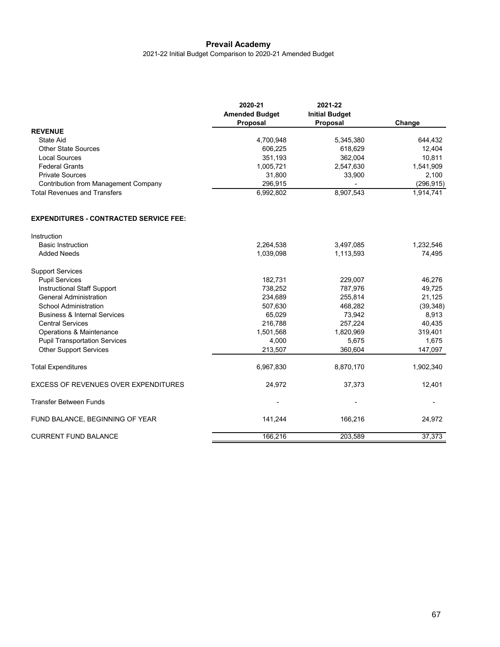2021-22 Initial Budget Comparison to 2020-21 Amended Budget

|                                               | 2020-21<br><b>Amended Budget</b> | 2021-22<br><b>Initial Budget</b> |            |  |
|-----------------------------------------------|----------------------------------|----------------------------------|------------|--|
|                                               | Proposal                         | Proposal                         | Change     |  |
| <b>REVENUE</b>                                |                                  |                                  |            |  |
| <b>State Aid</b>                              | 4,700,948                        | 5,345,380                        | 644,432    |  |
| <b>Other State Sources</b>                    | 606,225                          | 618,629                          | 12,404     |  |
| <b>Local Sources</b>                          | 351,193                          | 362,004                          | 10,811     |  |
| <b>Federal Grants</b>                         | 1,005,721                        | 2,547,630                        | 1,541,909  |  |
| <b>Private Sources</b>                        | 31,800                           | 33,900                           | 2,100      |  |
| <b>Contribution from Management Company</b>   | 296,915                          |                                  | (296, 915) |  |
| <b>Total Revenues and Transfers</b>           | 6,992,802                        | 8,907,543                        | 1,914,741  |  |
| <b>EXPENDITURES - CONTRACTED SERVICE FEE:</b> |                                  |                                  |            |  |
| Instruction                                   |                                  |                                  |            |  |
| <b>Basic Instruction</b>                      | 2,264,538                        | 3,497,085                        | 1,232,546  |  |
| <b>Added Needs</b>                            | 1,039,098                        | 1,113,593                        | 74,495     |  |
| <b>Support Services</b>                       |                                  |                                  |            |  |
| <b>Pupil Services</b>                         | 182,731                          | 229,007                          | 46,276     |  |
| <b>Instructional Staff Support</b>            | 738,252                          | 787,976                          | 49,725     |  |
| <b>General Administration</b>                 | 234,689                          | 255,814                          | 21,125     |  |
| <b>School Administration</b>                  | 507,630                          | 468,282                          | (39, 348)  |  |
| <b>Business &amp; Internal Services</b>       | 65,029                           | 73,942                           | 8,913      |  |
| <b>Central Services</b>                       | 216,788                          | 257,224                          | 40,435     |  |
| Operations & Maintenance                      | 1,501,568                        | 1,820,969                        | 319,401    |  |
| <b>Pupil Transportation Services</b>          | 4,000                            | 5,675                            | 1,675      |  |
| <b>Other Support Services</b>                 | 213,507                          | 360,604                          | 147,097    |  |
| <b>Total Expenditures</b>                     | 6,967,830                        | 8,870,170                        | 1,902,340  |  |
| <b>EXCESS OF REVENUES OVER EXPENDITURES</b>   | 24,972                           | 37,373                           | 12,401     |  |
| <b>Transfer Between Funds</b>                 |                                  |                                  |            |  |
| FUND BALANCE, BEGINNING OF YEAR               | 141,244                          | 166,216                          | 24,972     |  |
| <b>CURRENT FUND BALANCE</b>                   | 166,216                          | 203,589                          | 37,373     |  |